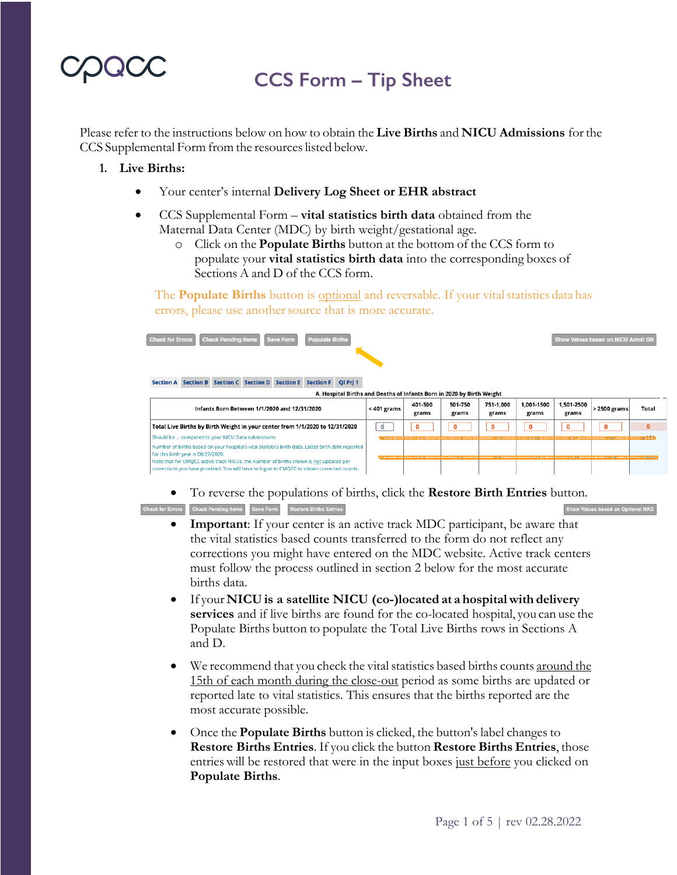## **CCS Form – Tip Sheet**

Please refer to the instructions below on how to obtain the **Live Births** and **NICU Admissions** forthe CCS Supplemental Form from the resources listed below.

#### **1. Live Births:**

- Your center's internal **Delivery Log Sheet or EHR abstract**
- CCS Supplemental Form **vital statistics birth data** obtained from the Maternal Data Center (MDC) by birth weight/gestational age.
	- o Click on the **Populate Births** button at the bottom of the CCS form to populate your **vital statistics birth data** into the corresponding boxes of Sections A and D of the CCS form.

The **Populate Births** button is <u>optional</u> and reversable. If your vital statistics data has errors, please use another source that is more accurate.



• To reverse the populations of births, click the **Restore Birth Entries** button.

Check for Errors Check Pending Items Save Form Restore Births Entries

- **Important**: If your center is an active track MDC participant, be aware that the vital statistics based counts transferred to the form do not reflect any corrections you might have entered on the MDC website. Active track centers must follow the process outlined in section 2 below for the most accurate births data.
- If your **NICU is a satellite NICU (co-)located at a hospital with delivery services** and if live births are found for the co-located hospital, you can use the Populate Births button to populate the Total Live Births rows in Sections A and D.
- We recommend that you check the vital statistics based births counts around the 15th of each month during the close-out period as some births are updated or reported late to vital statistics. This ensures that the births reported are the most accurate possible.
- Once the **Populate Births** button is clicked, the button's label changes to **Restore Births Entries**. If you click the button **Restore Births Entries**, those entries will be restored that were in the input boxes just before you clicked on **Populate Births**.

v Values based on Op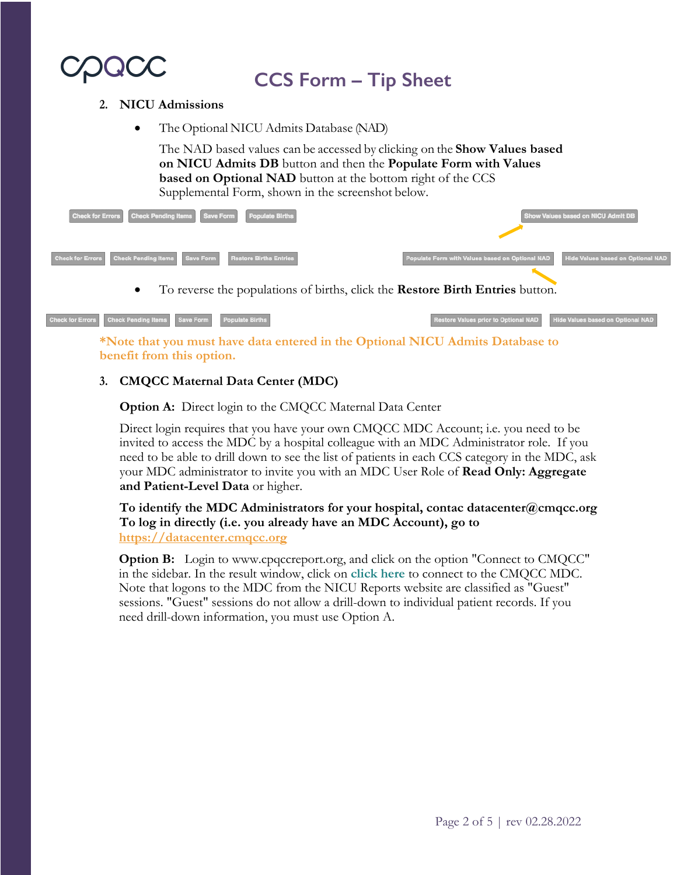

## **CCS Form – Tip Sheet**

#### **2. NICU Admissions**

• The Optional NICU Admits Database (NAD)

The NAD based values can be accessed by clicking on the **Show Values based on NICU Admits DB** button and then the **Populate Form with Values based on Optional NAD** button at the bottom right of the CCS Supplemental Form, shown in the screenshot below.

| Check for Errors Check Pending Items Save Form<br><b>Populate Births</b>        |                                                 | Show Values based on NICU Admit DB |
|---------------------------------------------------------------------------------|-------------------------------------------------|------------------------------------|
| Check for Errors Check Pending Items Save Form<br><b>Restore Births Entries</b> | Populate Form with Values based on Optional NAD | Hide Values based on Optional NAD  |
| To reverse the populations of births, click the Restore Birth Entries button.   |                                                 |                                    |

ck for Errors Check Pending Items Save Form

**\*Note that you must have data entered in the Optional NICU Admits Database to benefit from this option.**

### **3. CMQCC Maternal Data Center (MDC)**

**Option A:** Direct login to the CMQCC Maternal Data Center

Direct login requires that you have your own CMQCC MDC Account; i.e. you need to be invited to access the MDC by a hospital colleague with an MDC Administrator role. If you need to be able to drill down to see the list of patients in each CCS category in the MDC, ask your MDC administrator to invite you with an MDC User Role of **Read Only: Aggregate and Patient-Level Data** or higher.

**To identify the MDC Administrators for your hospital, contac datacenter@cmqcc.org To log in directly (i.e. you already have an MDC Account), go to https://datacenter.cmqcc.org**

**Option B:** Login to www.cpqccreport.org, and click on the option "Connect to CMQCC" in the sidebar. In the result window, click on **click here** to connect to the CMQCC MDC. Note that logons to the MDC from the NICU Reports website are classified as "Guest" sessions. "Guest" sessions do not allow a drill-down to individual patient records. If you need drill-down information, you must use Option A.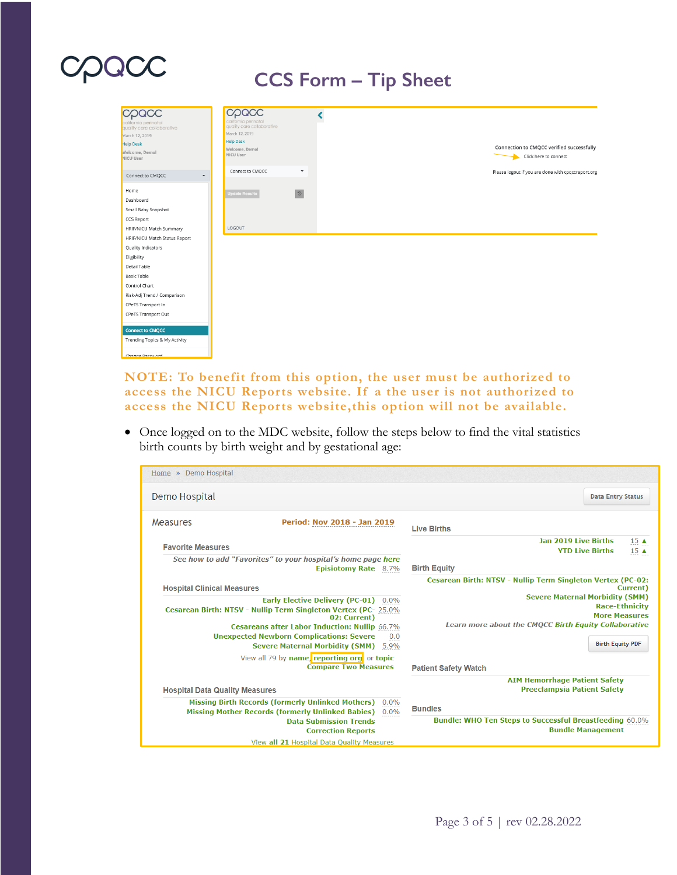## ODQOC

### **CCS Form – Tip Sheet**



#### **NOTE: To benefit from this option, the user must be authorized to access the NICU Reports website. If a the user is not authorized to access the NICU Reports website,this option will not be available.**

• Once logged on to the MDC website, follow the steps below to find the vital statistics birth counts by birth weight and by gestational age:

| Home » Demo Hospital                                                                                                                                                        |                                                                                           |  |
|-----------------------------------------------------------------------------------------------------------------------------------------------------------------------------|-------------------------------------------------------------------------------------------|--|
| Demo Hospital                                                                                                                                                               | <b>Data Entry Status</b>                                                                  |  |
| Measures<br><b>Period: Nov 2018 - Jan 2019</b>                                                                                                                              | <b>Live Births</b>                                                                        |  |
| <b>Favorite Measures</b>                                                                                                                                                    | <b>Jan 2019 Live Births</b><br>$15 \triangle$<br><b>YTD Live Births</b><br>$15 \triangle$ |  |
| See how to add "Favorites" to your hospital's home page here<br>Episiotomy Rate 8.7%                                                                                        | <b>Birth Equity</b>                                                                       |  |
| <b>Hospital Clinical Measures</b>                                                                                                                                           | Cesarean Birth: NTSV - Nullip Term Singleton Vertex (PC-02:<br>Current)                   |  |
| <b>Early Elective Delivery (PC-01)</b><br>$0.0\%$<br><b>Cesarean Birth: NTSV - Nullip Term Singleton Vertex (PC-25.0%</b><br>02: Current                                    | <b>Severe Maternal Morbidity (SMM)</b><br><b>Race-Ethnicity</b><br><b>More Measures</b>   |  |
| <b>Cesareans after Labor Induction: Nullip 66.7%</b><br><b>Unexpected Newborn Complications: Severe</b><br>0.0                                                              | Learn more about the CMQCC Birth Equity Collaborative                                     |  |
| <b>Severe Maternal Morbidity (SMM)</b><br>5.9%<br>View all 79 by name, reporting org or topic                                                                               | <b>Birth Equity PDF</b>                                                                   |  |
| <b>Compare Two Measures</b>                                                                                                                                                 | <b>Patient Safety Watch</b>                                                               |  |
| <b>Hospital Data Quality Measures</b>                                                                                                                                       | <b>AIM Hemorrhage Patient Safety</b><br><b>Preeclampsia Patient Safety</b>                |  |
| <b>Missing Birth Records (formerly Unlinked Mothers)</b><br>$0.0\%$<br><b>Missing Mother Records (formerly Unlinked Babies)</b><br>$0.0\%$<br><b>Data Submission Trends</b> | <b>Bundles</b><br><b>Bundle: WHO Ten Steps to Successful Breastfeeding 60.0%</b>          |  |
| <b>Correction Reports</b><br>View all 21 Hospital Data Quality Measures                                                                                                     | <b>Bundle Management</b>                                                                  |  |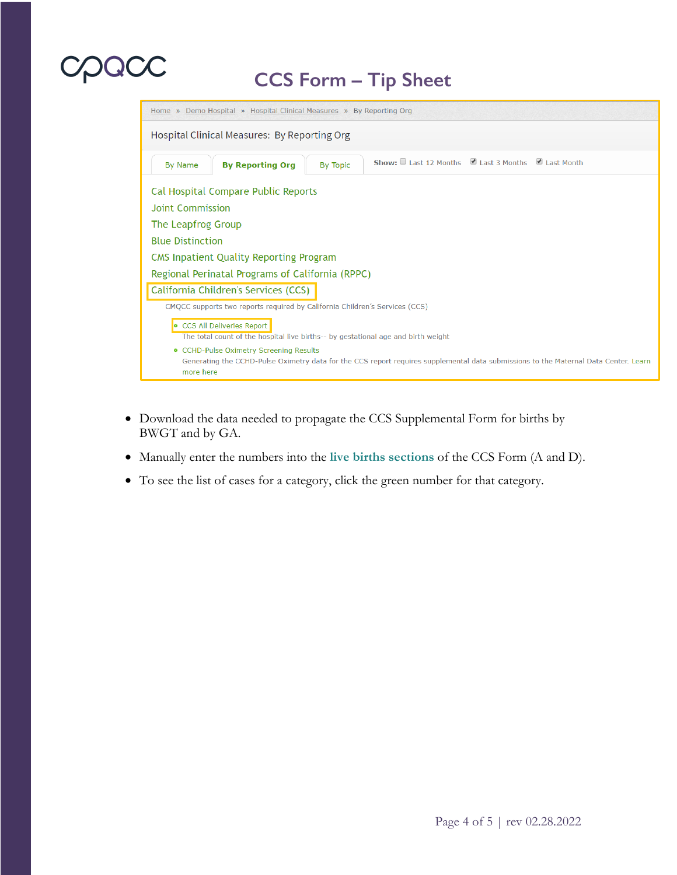# UNUU

### **CCS Form – Tip Sheet**



- Download the data needed to propagate the CCS Supplemental Form for births by BWGT and by GA.
- Manually enter the numbers into the **live births sections** of the CCS Form (A and D).
- To see the list of cases for a category, click the green number for that category.